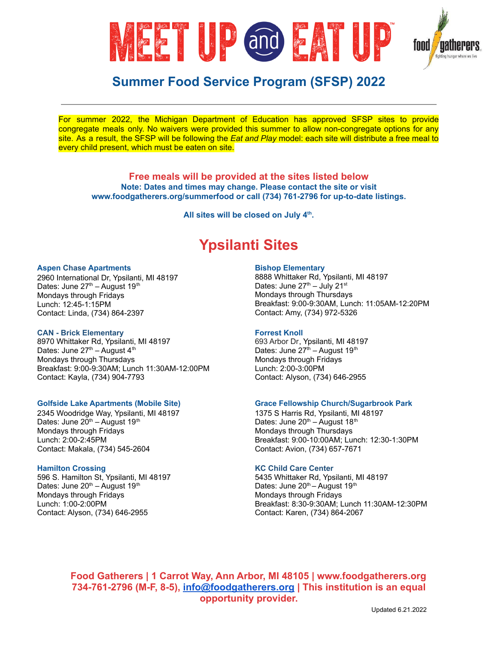

For summer 2022, the Michigan Department of Education has approved SFSP sites to provide congregate meals only. No waivers were provided this summer to allow non-congregate options for any site. As a result, the SFSP will be following the *Eat and Play* model: each site will distribute a free meal to every child present, which must be eaten on site.

**Free meals will be provided at the sites listed below Note: Dates and times may change. Please contact the site or visit www.foodgatherers.org/summerfood or call (734) 761-2796 for up-to-date listings.**

**All sites will be closed on July 4 th .**

# **Ypsilanti Sites**

#### **Aspen Chase Apartments**

2960 International Dr, Ypsilanti, MI 48197 Dates: June 27<sup>th</sup> – August 19<sup>th</sup> Mondays through Fridays Lunch: 12:45-1:15PM Contact: Linda, (734) 864-2397

# **CAN - Brick Elementary**

8970 Whittaker Rd, Ypsilanti, MI 48197 Dates: June 27<sup>th</sup> – August 4<sup>th</sup> Mondays through Thursdays Breakfast: 9:00-9:30AM; Lunch 11:30AM-12:00PM Contact: Kayla, (734) 904-7793

# **Golfside Lake Apartments (Mobile Site)**

2345 Woodridge Way, Ypsilanti, MI 48197 Dates: June 20<sup>th</sup> – August 19<sup>th</sup> Mondays through Fridays Lunch: 2:00-2:45PM Contact: Makala, (734) 545-2604

# **Hamilton Crossing**

596 S. Hamilton St, Ypsilanti, MI 48197 Dates: June  $20<sup>th</sup>$  – August 19<sup>th</sup> Mondays through Fridays Lunch: 1:00-2:00PM Contact: Alyson, (734) 646-2955

# **Bishop Elementary**

8888 Whittaker Rd, Ypsilanti, MI 48197 Dates: June 27<sup>th</sup> – July 21<sup>st</sup> Mondays through Thursdays Breakfast: 9:00-9:30AM, Lunch: 11:05AM-12:20PM Contact: Amy, (734) 972-5326

# **Forrest Knoll**

693 Arbor Dr, Ypsilanti, MI 48197 Dates: June 27<sup>th</sup> – August 19<sup>th</sup> Mondays through Fridays Lunch: 2:00-3:00PM Contact: Alyson, (734) 646-2955

### **Grace Fellowship Church/Sugarbrook Park**

1375 S Harris Rd, Ypsilanti, MI 48197 Dates: June  $20^{th}$  – August 18<sup>th</sup> Mondays through Thursdays Breakfast: 9:00-10:00AM; Lunch: 12:30-1:30PM Contact: Avion, (734) 657-7671

#### **KC Child Care Center**

5435 Whittaker Rd, Ypsilanti, MI 48197 Dates: June 20<sup>th</sup> - August 19<sup>th</sup> Mondays through Fridays Breakfast: 8:30-9:30AM; Lunch 11:30AM-12:30PM Contact: Karen, (734) 864-2067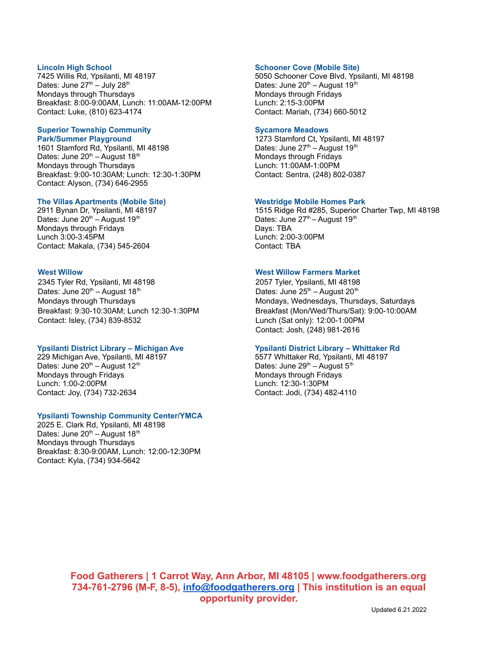# **Lincoln High School**

7425 Willis Rd, Ypsilanti, MI 48197 Dates: June 27<sup>th</sup> – July 28<sup>th</sup> Mondays through Thursdays Breakfast: 8:00-9:00AM, Lunch: 11:00AM-12:00PM Contact: Luke, (810) 623-4174

#### **Superior Township Community Park/Summer Playground**

1601 Stamford Rd, Ypsilanti, MI 48198 Dates: June 20<sup>th</sup> – August 18<sup>th</sup> Mondays through Thursdays Breakfast: 9:00-10:30AM; Lunch: 12:30-1:30PM Contact: Alyson, (734) 646-2955

# **The Villas Apartments (Mobile Site)**

2911 Bynan Dr, Ypsilanti, MI 48197 Dates: June 20<sup>th</sup> – August 19<sup>th</sup> Mondays through Fridays Lunch 3:00-3:45PM Contact: Makala, (734) 545-2604

#### **West Willow**

2345 Tyler Rd, Ypsilanti, MI 48198 Dates: June  $20<sup>th</sup>$  – August 18<sup>th</sup> Mondays through Thursdays Breakfast: 9:30-10:30AM; Lunch 12:30-1:30PM Contact: Isley, (734) 839-8532

# **Ypsilanti District Library – Michigan Ave**

229 Michigan Ave, Ypsilanti, MI 48197 Dates: June 20<sup>th</sup> – August 12<sup>th</sup> Mondays through Fridays Lunch: 1:00-2:00PM Contact: Joy, (734) 732-2634

# **Ypsilanti Township Community Center/YMCA**

2025 E. Clark Rd, Ypsilanti, MI 48198 Dates: June 20<sup>th</sup> – August 18<sup>th</sup> Mondays through Thursdays Breakfast: 8:30-9:00AM, Lunch: 12:00-12:30PM Contact: Kyla, (734) 934-5642

# **Schooner Cove (Mobile Site)**

5050 Schooner Cove Blvd, Ypsilanti, MI 48198 Dates: June 20<sup>th</sup> – August 19<sup>th</sup> Mondays through Fridays Lunch: 2:15-3:00PM Contact: Mariah, (734) 660-5012

#### **Sycamore Meadows**

1273 Stamford Ct, Ypsilanti, MI 48197 Dates: June 27<sup>th</sup> – August 19<sup>th</sup> Mondays through Fridays Lunch: 11:00AM-1:00PM Contact: Sentra, (248) 802-0387

#### **Westridge Mobile Homes Park**

1515 Ridge Rd #285, Superior Charter Twp, MI 48198 Dates: June 27<sup>th</sup> - August 19<sup>th</sup> Days: TBA Lunch: 2:00-3:00PM Contact: TBA

# **West Willow Farmers Market**

2057 Tyler, Ypsilanti, MI 48198 Dates: June  $25<sup>th</sup>$  – August  $20<sup>th</sup>$ Mondays, Wednesdays, Thursdays, Saturdays Breakfast (Mon/Wed/Thurs/Sat): 9:00-10:00AM Lunch (Sat only): 12:00-1:00PM Contact: Josh, (248) 981-2616

# **Ypsilanti District Library – Whittaker Rd**

5577 Whittaker Rd, Ypsilanti, MI 48197 Dates: June 29<sup>th</sup> – August 5<sup>th</sup> Mondays through Fridays Lunch: 12:30-1:30PM Contact: Jodi, (734) 482-4110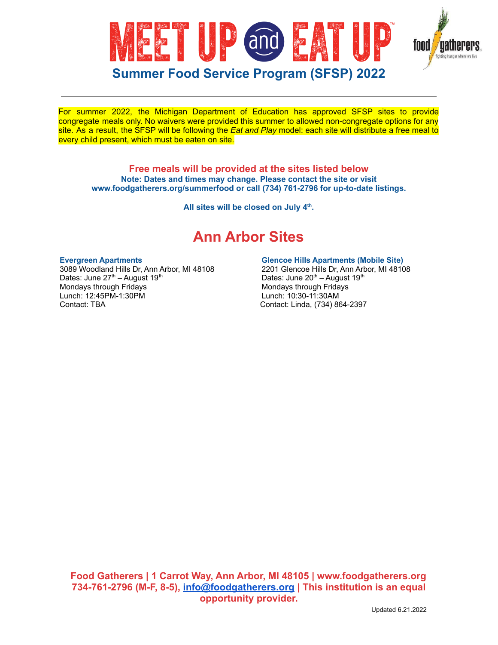

For summer 2022, the Michigan Department of Education has approved SFSP sites to provide congregate meals only. No waivers were provided this summer to allowed non-congregate options for any site. As a result, the SFSP will be following the *Eat and Play* model: each site will distribute a free meal to every child present, which must be eaten on site.

**Free meals will be provided at the sites listed below Note: Dates and times may change. Please contact the site or visit www.foodgatherers.org/summerfood or call (734) 761-2796 for up-to-date listings.**

**All sites will be closed on July 4 th .**

# **Ann Arbor Sites**

#### **Evergreen Apartments**

3089 Woodland Hills Dr, Ann Arbor, MI 48108 Dates: June 27<sup>th</sup> – August 19<sup>th</sup> Mondays through Fridays Lunch: 12:45PM-1:30PM Contact: TBA

# **Glencoe Hills Apartments (Mobile Site)**

2201 Glencoe Hills Dr, Ann Arbor, MI 48108 Dates: June 20<sup>th</sup> – August 19<sup>th</sup> Mondays through Fridays Lunch: 10:30-11:30AM Contact: Linda, (734) 864-2397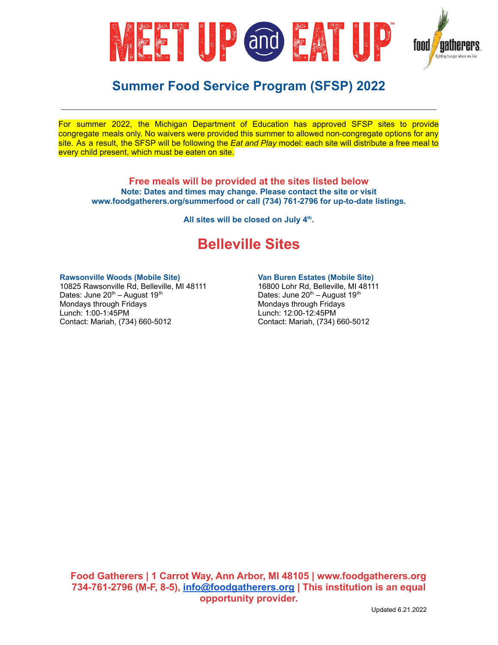

For summer 2022, the Michigan Department of Education has approved SFSP sites to provide congregate meals only. No waivers were provided this summer to allowed non-congregate options for any site. As a result, the SFSP will be following the *Eat and Play* model: each site will distribute a free meal to every child present, which must be eaten on site.

**Free meals will be provided at the sites listed below Note: Dates and times may change. Please contact the site or visit www.foodgatherers.org/summerfood or call (734) 761-2796 for up-to-date listings.**

**All sites will be closed on July 4 th .**

# **Belleville Sites**

# **Rawsonville Woods (Mobile Site)**

10825 Rawsonville Rd, Belleville, MI 48111 Dates: June 20<sup>th</sup> – August 19<sup>th</sup> Mondays through Fridays Lunch: 1:00-1:45PM Contact: Mariah, (734) 660-5012

# **Van Buren Estates (Mobile Site)**

16800 Lohr Rd, Belleville, MI 48111 Dates: June 20<sup>th</sup> – August 19<sup>th</sup> Mondays through Fridays Lunch: 12:00-12:45PM Contact: Mariah, (734) 660-5012